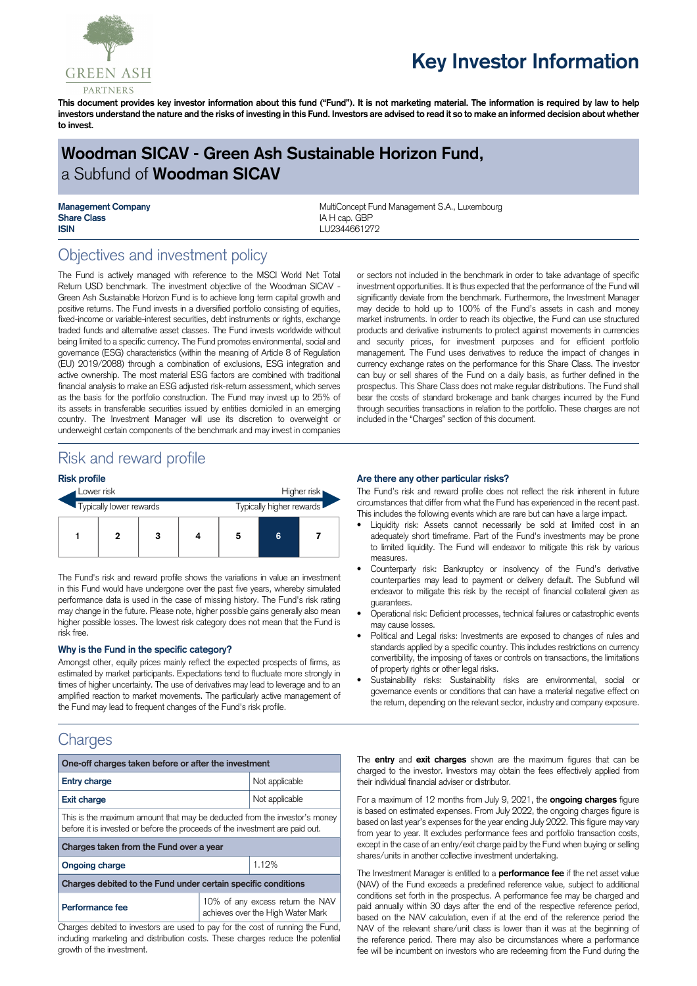

# **Key Investor Information**

This document provides key investor information about this fund ("Fund"). It is not marketing material. The information is required by law to help investors understand the nature and the risks of investing in this Fund. Investors are advised to read it so to make an informed decision about whether **to invest.**

# **Woodman SICAV - Green Ash Sustainable Horizon Fund,** a Subfund of **Woodman SICAV**

**Share Class IA H** cap. GBP **ISIN** LU2344661272

**Management Company MultiConcept Fund Management S.A., Luxembourg MultiConcept Fund Management S.A., Luxembourg** 

# Objectives and investment policy

The Fund is actively managed with reference to the MSCI World Net Total Return USD benchmark. The investment objective of the Woodman SICAV - Green Ash Sustainable Horizon Fund is to achieve long term capital growth and positive returns. The Fund invests in a diversified portfolio consisting of equities, fixed-income or variable-interest securities, debt instruments or rights, exchange traded funds and alternative asset classes. The Fund invests worldwide without being limited to a specific currency. The Fund promotes environmental, social and governance (ESG) characteristics (within the meaning of Article 8 of Regulation (EU) 2019/2088) through a combination of exclusions, ESG integration and active ownership. The most material ESG factors are combined with traditional financial analysis to make an ESG adjusted risk-return assessment, which serves as the basis for the portfolio construction. The Fund may invest up to 25% of its assets in transferable securities issued by entities domiciled in an emerging country. The Investment Manager will use its discretion to overweight or underweight certain components of the benchmark and may invest in companies

or sectors not included in the benchmark in order to take advantage of specific investment opportunities. It is thus expected that the performance of the Fund will significantly deviate from the benchmark. Furthermore, the Investment Manager may decide to hold up to 100% of the Fund's assets in cash and money market instruments. In order to reach its objective, the Fund can use structured products and derivative instruments to protect against movements in currencies and security prices, for investment purposes and for efficient portfolio management. The Fund uses derivatives to reduce the impact of changes in currency exchange rates on the performance for this Share Class. The investor can buy or sell shares of the Fund on a daily basis, as further defined in the prospectus. This Share Class does not make regular distributions. The Fund shall bear the costs of standard brokerage and bank charges incurred by the Fund through securities transactions in relation to the portfolio. These charges are not included in the "Charges" section of this document.

# Risk and reward profile

#### **Risk profile**

| Lower risk              |   |   | Higher risk |                          |   |  |
|-------------------------|---|---|-------------|--------------------------|---|--|
| Typically lower rewards |   |   |             | Typically higher rewards |   |  |
|                         | 2 | 3 |             | 5                        | 6 |  |

The Fund's risk and reward profile shows the variations in value an investment in this Fund would have undergone over the past five years, whereby simulated performance data is used in the case of missing history. The Fund's risk rating may change in the future. Please note, higher possible gains generally also mean higher possible losses. The lowest risk category does not mean that the Fund is risk free.

#### **Why is the Fund in the specific category?**

Amongst other, equity prices mainly reflect the expected prospects of firms, as estimated by market participants. Expectations tend to fluctuate more strongly in times of higher uncertainty. The use of derivatives may lead to leverage and to an amplified reaction to market movements. The particularly active management of the Fund may lead to frequent changes of the Fund's risk profile.

### **Charges**

| One-off charges taken before or after the investment                                                                                                      |                                                                       |  |  |  |  |
|-----------------------------------------------------------------------------------------------------------------------------------------------------------|-----------------------------------------------------------------------|--|--|--|--|
| <b>Entry charge</b>                                                                                                                                       | Not applicable                                                        |  |  |  |  |
| <b>Exit charge</b>                                                                                                                                        | Not applicable                                                        |  |  |  |  |
| This is the maximum amount that may be deducted from the investor's money<br>before it is invested or before the proceeds of the investment are paid out. |                                                                       |  |  |  |  |
| Charges taken from the Fund over a year                                                                                                                   |                                                                       |  |  |  |  |
| <b>Ongoing charge</b>                                                                                                                                     | 1.12%                                                                 |  |  |  |  |
| Charges debited to the Fund under certain specific conditions                                                                                             |                                                                       |  |  |  |  |
| Performance fee                                                                                                                                           | 10% of any excess return the NAV<br>achieves over the High Water Mark |  |  |  |  |

Charges debited to investors are used to pay for the cost of running the Fund, including marketing and distribution costs. These charges reduce the potential growth of the investment.

#### **Are there any other particular risks?**

The Fund's risk and reward profile does not reflect the risk inherent in future circumstances that differ from what the Fund has experienced in the recent past. This includes the following events which are rare but can have a large impact.

- Liquidity risk: Assets cannot necessarily be sold at limited cost in an adequately short timeframe. Part of the Fund's investments may be prone to limited liquidity. The Fund will endeavor to mitigate this risk by various measures.
- Counterparty risk: Bankruptcy or insolvency of the Fund's derivative counterparties may lead to payment or delivery default. The Subfund will endeavor to mitigate this risk by the receipt of financial collateral given as guarantees.
- Operational risk: Deficient processes, technical failures or catastrophic events may cause losses.
- Political and Legal risks: Investments are exposed to changes of rules and standards applied by a specific country. This includes restrictions on currency convertibility, the imposing of taxes or controls on transactions, the limitations of property rights or other legal risks.
- Sustainability risks: Sustainability risks are environmental, social or governance events or conditions that can have a material negative effect on the return, depending on the relevant sector, industry and company exposure.

The **entry** and **exit charges** shown are the maximum figures that can be charged to the investor. Investors may obtain the fees effectively applied from their individual financial adviser or distributor.

For a maximum of 12 months from July 9, 2021, the **ongoing charges** figure is based on estimated expenses. From July 2022, the ongoing charges figure is based on last year's expenses for the year ending July 2022. This figure may vary from year to year. It excludes performance fees and portfolio transaction costs, except in the case of an entry/exit charge paid by the Fund when buying or selling shares/units in another collective investment undertaking.

The Investment Manager is entitled to a **performance fee** if the net asset value (NAV) of the Fund exceeds a predefined reference value, subject to additional conditions set forth in the prospectus. A performance fee may be charged and paid annually within 30 days after the end of the respective reference period, based on the NAV calculation, even if at the end of the reference period the NAV of the relevant share/unit class is lower than it was at the beginning of the reference period. There may also be circumstances where a performance fee will be incumbent on investors who are redeeming from the Fund during the